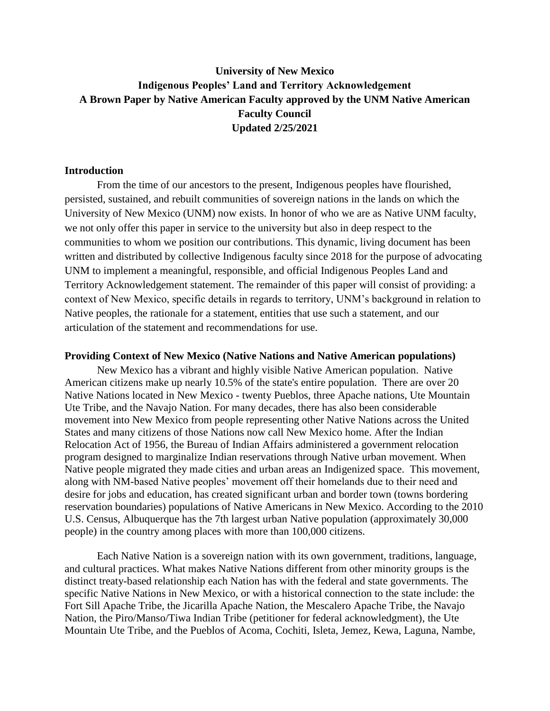# **University of New Mexico Indigenous Peoples' Land and Territory Acknowledgement A Brown Paper by Native American Faculty approved by the UNM Native American Faculty Council Updated 2/25/2021**

### **Introduction**

From the time of our ancestors to the present, Indigenous peoples have flourished, persisted, sustained, and rebuilt communities of sovereign nations in the lands on which the University of New Mexico (UNM) now exists. In honor of who we are as Native UNM faculty, we not only offer this paper in service to the university but also in deep respect to the communities to whom we position our contributions. This dynamic, living document has been written and distributed by collective Indigenous faculty since 2018 for the purpose of advocating UNM to implement a meaningful, responsible, and official Indigenous Peoples Land and Territory Acknowledgement statement. The remainder of this paper will consist of providing: a context of New Mexico, specific details in regards to territory, UNM's background in relation to Native peoples, the rationale for a statement, entities that use such a statement, and our articulation of the statement and recommendations for use.

#### **Providing Context of New Mexico (Native Nations and Native American populations)**

New Mexico has a vibrant and highly visible Native American population. Native American citizens make up nearly 10.5% of the state's entire population. There are over 20 Native Nations located in New Mexico - twenty Pueblos, three Apache nations, Ute Mountain Ute Tribe, and the Navajo Nation. For many decades, there has also been considerable movement into New Mexico from people representing other Native Nations across the United States and many citizens of those Nations now call New Mexico home. After the Indian Relocation Act of 1956, the Bureau of Indian Affairs administered a government relocation program designed to marginalize Indian reservations through Native urban movement. When Native people migrated they made cities and urban areas an Indigenized space. This movement, along with NM-based Native peoples' movement off their homelands due to their need and desire for jobs and education, has created significant urban and border town (towns bordering reservation boundaries) populations of Native Americans in New Mexico. According to the 2010 U.S. Census, Albuquerque has the 7th largest urban Native population (approximately 30,000 people) in the country among places with more than 100,000 citizens.

Each Native Nation is a sovereign nation with its own government, traditions, language, and cultural practices. What makes Native Nations different from other minority groups is the distinct treaty-based relationship each Nation has with the federal and state governments. The specific Native Nations in New Mexico, or with a historical connection to the state include: the Fort Sill Apache Tribe, the Jicarilla Apache Nation, the Mescalero Apache Tribe, the Navajo Nation, the Piro/Manso/Tiwa Indian Tribe (petitioner for federal acknowledgment), the Ute Mountain Ute Tribe, and the Pueblos of Acoma, Cochiti, Isleta, Jemez, Kewa, Laguna, Nambe,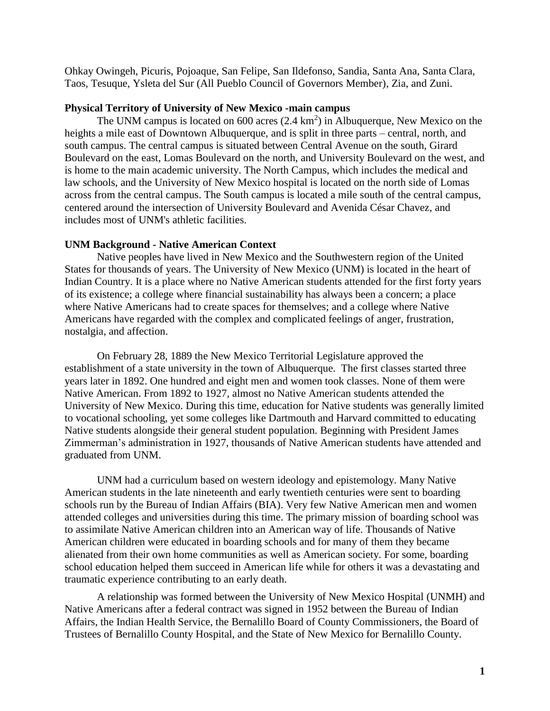Ohkay Owingeh, Picuris, Pojoaque, San Felipe, San Ildefonso, Sandia, Santa Ana, Santa Clara, Taos, Tesuque, Ysleta del Sur (All Pueblo Council of Governors Member), Zia, and Zuni.

### **Physical Territory of University of New Mexico -main campus**

The UNM campus is located on  $600$  acres  $(2.4 \text{ km}^2)$  in Albuquerque, New Mexico on the heights a mile east of Downtown Albuquerque, and is split in three parts – central, north, and south campus. The central campus is situated between [Central Avenue](https://en.wikipedia.org/wiki/Central_Avenue_(Albuquerque)) on the south, Girard Boulevard on the east, Lomas Boulevard on the north, and University Boulevard on the west, and is home to the main academic university. The North Campus, which includes the medical and law schools, and the University of New Mexico hospital is located on the north side of Lomas across from the central campus. The South campus is located a mile south of the central campus, centered around the intersection of University Boulevard and Avenida César Chavez, and includes most of UNM's athletic facilities.

### **UNM Background - Native American Context**

Native peoples have lived in New Mexico and the Southwestern region of the United States for thousands of years. The University of New Mexico (UNM) is located in the heart of Indian Country. It is a place where no Native American students attended for the first forty years of its existence; a college where financial sustainability has always been a concern; a place where Native Americans had to create spaces for themselves; and a college where Native Americans have regarded with the complex and complicated feelings of anger, frustration, nostalgia, and affection.

On February 28, 1889 the New Mexico Territorial Legislature approved the establishment of a state university in the town of Albuquerque. The first classes started three years later in 1892. One hundred and eight men and women took classes. None of them were Native American. From 1892 to 1927, almost no Native American students attended the University of New Mexico. During this time, education for Native students was generally limited to vocational schooling, yet some colleges like Dartmouth and Harvard committed to educating Native students alongside their general student population. Beginning with President James Zimmerman's administration in 1927, thousands of Native American students have attended and graduated from UNM.

 UNM had a curriculum based on western ideology and epistemology. Many Native American students in the late nineteenth and early twentieth centuries were sent to boarding schools run by the Bureau of Indian Affairs (BIA). Very few Native American men and women attended colleges and universities during this time. The primary mission of boarding school was to assimilate Native American children into an American way of life. Thousands of Native American children were educated in boarding schools and for many of them they became alienated from their own home communities as well as American society. For some, boarding school education helped them succeed in American life while for others it was a devastating and traumatic experience contributing to an early death.

A relationship was formed between the University of New Mexico Hospital (UNMH) and Native Americans after a federal contract was signed in 1952 between the Bureau of Indian Affairs, the Indian Health Service, the Bernalillo Board of County Commissioners, the Board of Trustees of Bernalillo County Hospital, and the State of New Mexico for Bernalillo County.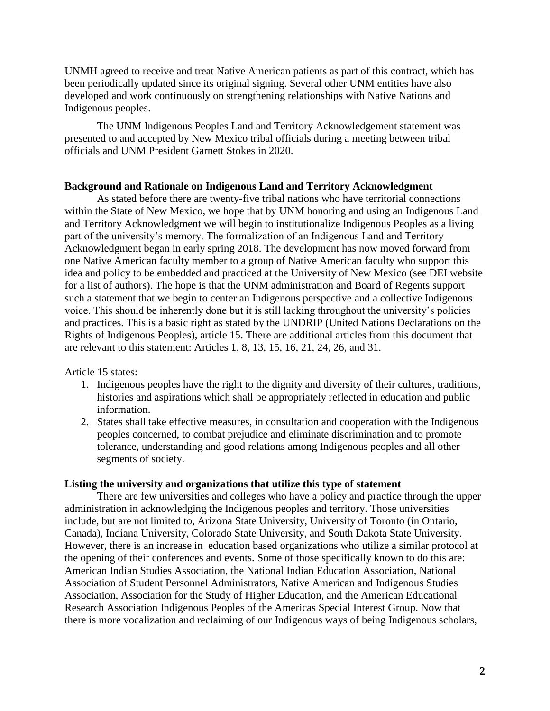UNMH agreed to receive and treat Native American patients as part of this contract, which has been periodically updated since its original signing. Several other UNM entities have also developed and work continuously on strengthening relationships with Native Nations and Indigenous peoples.

The UNM Indigenous Peoples Land and Territory Acknowledgement statement was presented to and accepted by New Mexico tribal officials during a meeting between tribal officials and UNM President Garnett Stokes in 2020.

### **Background and Rationale on Indigenous Land and Territory Acknowledgment**

As stated before there are twenty-five tribal nations who have territorial connections within the State of New Mexico, we hope that by UNM honoring and using an Indigenous Land and Territory Acknowledgment we will begin to institutionalize Indigenous Peoples as a living part of the university's memory. The formalization of an Indigenous Land and Territory Acknowledgment began in early spring 2018. The development has now moved forward from one Native American faculty member to a group of Native American faculty who support this idea and policy to be embedded and practiced at the University of New Mexico (see DEI website for a list of authors). The hope is that the UNM administration and Board of Regents support such a statement that we begin to center an Indigenous perspective and a collective Indigenous voice. This should be inherently done but it is still lacking throughout the university's policies and practices. This is a basic right as stated by the UNDRIP (United Nations Declarations on the Rights of Indigenous Peoples), article 15. There are additional articles from this document that are relevant to this statement: Articles 1, 8, 13, 15, 16, 21, 24, 26, and 31.

Article 15 states:

- 1. Indigenous peoples have the right to the dignity and diversity of their cultures, traditions, histories and aspirations which shall be appropriately reflected in education and public information.
- 2. States shall take effective measures, in consultation and cooperation with the Indigenous peoples concerned, to combat prejudice and eliminate discrimination and to promote tolerance, understanding and good relations among Indigenous peoples and all other segments of society.

#### **Listing the university and organizations that utilize this type of statement**

There are few universities and colleges who have a policy and practice through the upper administration in acknowledging the Indigenous peoples and territory. Those universities include, but are not limited to, Arizona State University, University of Toronto (in Ontario, Canada), Indiana University, Colorado State University, and South Dakota State University. However, there is an increase in education based organizations who utilize a similar protocol at the opening of their conferences and events. Some of those specifically known to do this are: American Indian Studies Association, the National Indian Education Association, National Association of Student Personnel Administrators, Native American and Indigenous Studies Association, Association for the Study of Higher Education, and the American Educational Research Association Indigenous Peoples of the Americas Special Interest Group. Now that there is more vocalization and reclaiming of our Indigenous ways of being Indigenous scholars,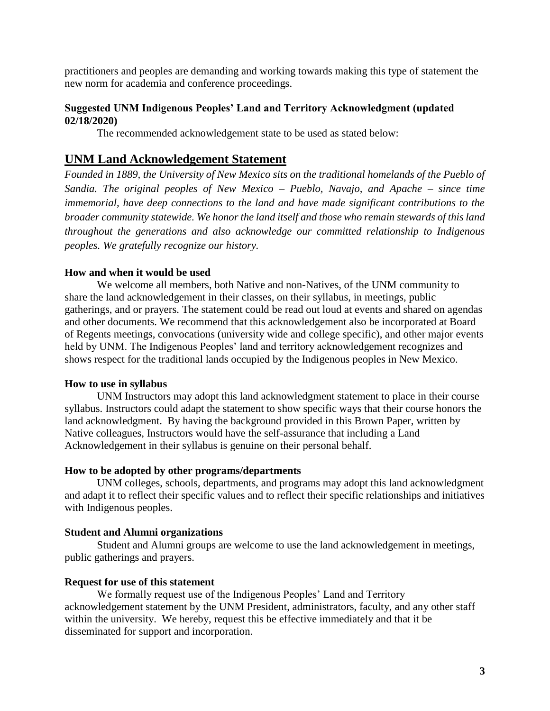practitioners and peoples are demanding and working towards making this type of statement the new norm for academia and conference proceedings.

### **Suggested UNM Indigenous Peoples' Land and Territory Acknowledgment (updated 02/18/2020)**

The recommended acknowledgement state to be used as stated below:

## **UNM Land Acknowledgement Statement**

*Founded in 1889, the University of New Mexico sits on the traditional homelands of the Pueblo of Sandia. The original peoples of New Mexico – Pueblo, Navajo, and Apache – since time immemorial, have deep connections to the land and have made significant contributions to the broader community statewide. We honor the land itself and those who remain stewards of this land throughout the generations and also acknowledge our committed relationship to Indigenous peoples. We gratefully recognize our history.*

### **How and when it would be used**

We welcome all members, both Native and non-Natives, of the UNM community to share the land acknowledgement in their classes, on their syllabus, in meetings, public gatherings, and or prayers. The statement could be read out loud at events and shared on agendas and other documents. We recommend that this acknowledgement also be incorporated at Board of Regents meetings, convocations (university wide and college specific), and other major events held by UNM. The Indigenous Peoples' land and territory acknowledgement recognizes and shows respect for the traditional lands occupied by the Indigenous peoples in New Mexico.

### **How to use in syllabus**

UNM Instructors may adopt this land acknowledgment statement to place in their course syllabus. Instructors could adapt the statement to show specific ways that their course honors the land acknowledgment. By having the background provided in this Brown Paper, written by Native colleagues, Instructors would have the self-assurance that including a Land Acknowledgement in their syllabus is genuine on their personal behalf.

### **How to be adopted by other programs/departments**

UNM colleges, schools, departments, and programs may adopt this land acknowledgment and adapt it to reflect their specific values and to reflect their specific relationships and initiatives with Indigenous peoples.

### **Student and Alumni organizations**

Student and Alumni groups are welcome to use the land acknowledgement in meetings, public gatherings and prayers.

### **Request for use of this statement**

We formally request use of the Indigenous Peoples' Land and Territory acknowledgement statement by the UNM President, administrators, faculty, and any other staff within the university. We hereby, request this be effective immediately and that it be disseminated for support and incorporation.